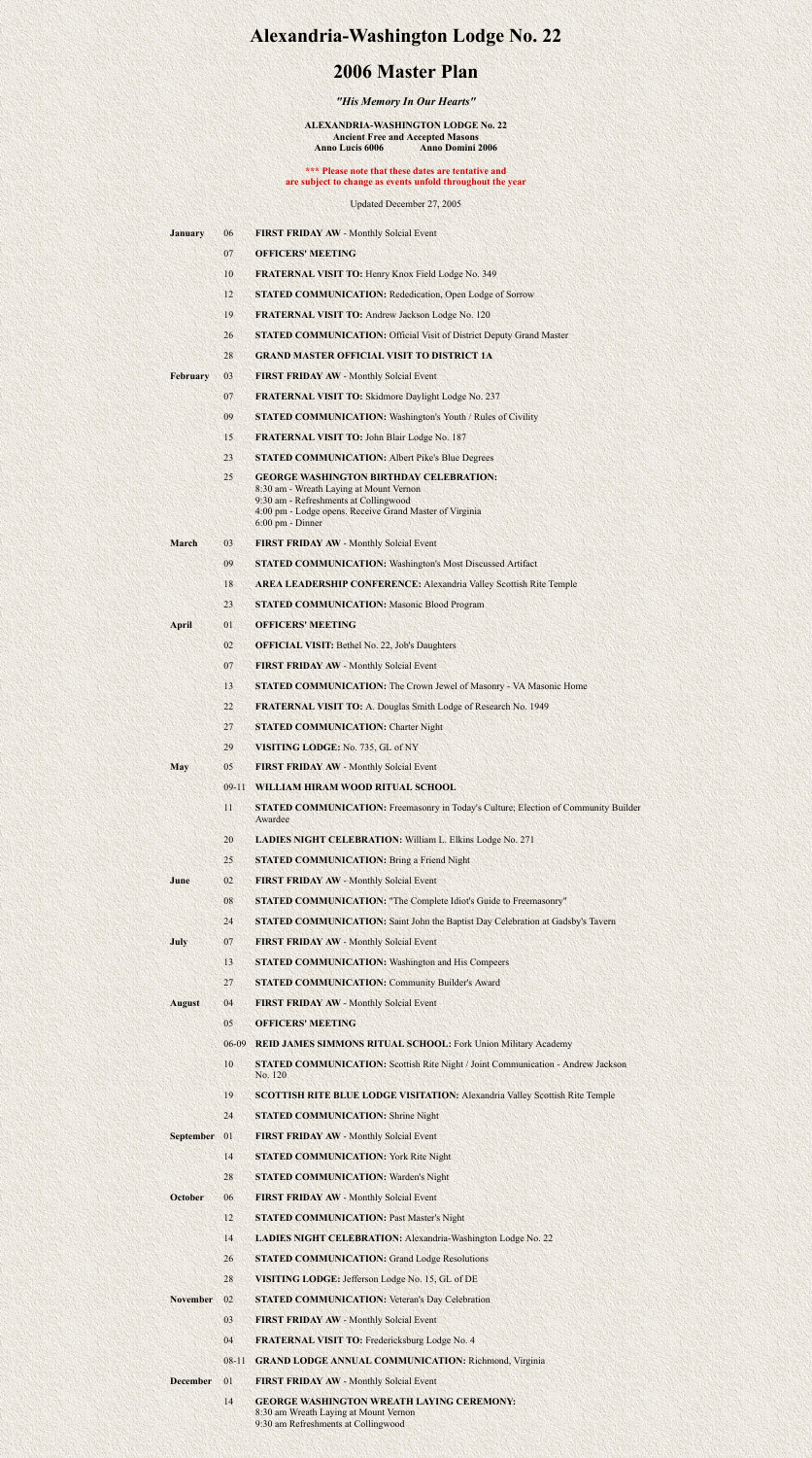# **Alexandria-Washington Lodge No. 22**

## **2006 Master Plan**

### *"His Memory In Our Hearts"*

#### **ALEXANDRIA-WASHINGTON LODGE No. 22 Ancient Free and Accepted Masons Anno Lucis 6006 Anno Domini 2006**

### **\*\*\* Please note that these dates are tentative and are subject to change as events unfold throughout the year**

Updated December 27, 2005

| <b>January</b> |  | <b>FIRST FRIDAY AW - Monthly Solcial Event</b> |  |  |
|----------------|--|------------------------------------------------|--|--|
|----------------|--|------------------------------------------------|--|--|

- 07 **OFFICERS' MEETING**
- 10 **FRATERNAL VISIT TO:** Henry Knox Field Lodge No. 349
- 12 **STATED COMMUNICATION:** Rededication, Open Lodge of Sorrow
- 19 **FRATERNAL VISIT TO:** Andrew Jackson Lodge No. 120
- 26 **STATED COMMUNICATION:** Official Visit of District Deputy Grand Master
- 28 **GRAND MASTER OFFICIAL VISIT TO DISTRICT 1A**
- **February** 03 **FIRST FRIDAY AW** Monthly Solcial Event
	- 07 **FRATERNAL VISIT TO:** Skidmore Daylight Lodge No. 237
	- 09 **STATED COMMUNICATION:** Washington's Youth / Rules of Civility
	- 15 **FRATERNAL VISIT TO:** John Blair Lodge No. 187
	- 23 **STATED COMMUNICATION:** Albert Pike's Blue Degrees
	- 25 **GEORGE WASHINGTON BIRTHDAY CELEBRATION:** 8:30 am - Wreath Laying at Mount Vernon 9:30 am - Refreshments at Collingwood 4:00 pm - Lodge opens. Receive Grand Master of Virginia 6:00 pm - Dinner
- **March** 03 **FIRST FRIDAY AW** Monthly Solcial Event
	- 09 **STATED COMMUNICATION:** Washington's Most Discussed Artifact
	- 18 **AREA LEADERSHIP CONFERENCE:** Alexandria Valley Scottish Rite Temple
	- 23 **STATED COMMUNICATION:** Masonic Blood Program
- **April** 01 **OFFICERS' MEETING**
	- 02 **OFFICIAL VISIT:** Bethel No. 22, Job's Daughters
	- 07 **FIRST FRIDAY AW** Monthly Solcial Event
	- 13 **STATED COMMUNICATION:** The Crown Jewel of Masonry VA Masonic Home
	- 22 **FRATERNAL VISIT TO:** A. Douglas Smith Lodge of Research No. 1949
	-
	- 27 **STATED COMMUNICATION:** Charter Night
	- 29 **VISITING LODGE:** No. 735, GL of NY
- **May** 05 **FIRST FRIDAY AW** Monthly Solcial Event
	- 09-11 **WILLIAM HIRAM WOOD RITUAL SCHOOL**
	- 11 **STATED COMMUNICATION:** Freemasonry in Today's Culture; Election of Community Builder Awardee
	- 20 **LADIES NIGHT CELEBRATION:** William L. Elkins Lodge No. 271
	- 25 **STATED COMMUNICATION:** Bring a Friend Night
- **June** 02 **FIRST FRIDAY AW** Monthly Solcial Event
	- 08 **STATED COMMUNICATION:** "The Complete Idiot's Guide to Freemasonry"
	- 24 **STATED COMMUNICATION:** Saint John the Baptist Day Celebration at Gadsby's Tavern
- **July** 07 **FIRST FRIDAY AW** Monthly Solcial Event
	- 13 **STATED COMMUNICATION:** Washington and His Compeers
	- 27 **STATED COMMUNICATION:** Community Builder's Award
- **August** 04 **FIRST FRIDAY AW** Monthly Solcial Event
	- 05 **OFFICERS' MEETING**
	- 06-09 **REID JAMES SIMMONS RITUAL SCHOOL:** Fork Union Military Academy
	- 10 **STATED COMMUNICATION:** Scottish Rite Night / Joint Communication Andrew Jackson No. 120
	- 19 **SCOTTISH RITE BLUE LODGE VISITATION:** Alexandria Valley Scottish Rite Temple
	- 24 **STATED COMMUNICATION:** Shrine Night
- **September** 01 **FIRST FRIDAY AW** Monthly Solcial Event
	- 14 **STATED COMMUNICATION:** York Rite Night
	- 28 **STATED COMMUNICATION:** Warden's Night
- **October 06 FIRST FRIDAY AW Monthly Solcial Event** 
	- 12 **STATED COMMUNICATION:** Past Master's Night
	- 14 **LADIES NIGHT CELEBRATION:** Alexandria-Washington Lodge No. 22
	- 26 **STATED COMMUNICATION:** Grand Lodge Resolutions
	- 28 **VISITING LODGE:** Jefferson Lodge No. 15, GL of DE
- **November** 02 **STATED COMMUNICATION:** Veteran's Day Celebration
	- 03 **FIRST FRIDAY AW** Monthly Solcial Event
	- 04 **FRATERNAL VISIT TO:** Fredericksburg Lodge No. 4
	- 08-11 **GRAND LODGE ANNUAL COMMUNICATION:** Richmond, Virginia
- **December** 01 **FIRST FRIDAY AW** Monthly Solcial Event
	- 14 **GEORGE WASHINGTON WREATH LAYING CEREMONY:** 8:30 am Wreath Laying at Mount Vernon 9:30 am Refreshments at Collingwood